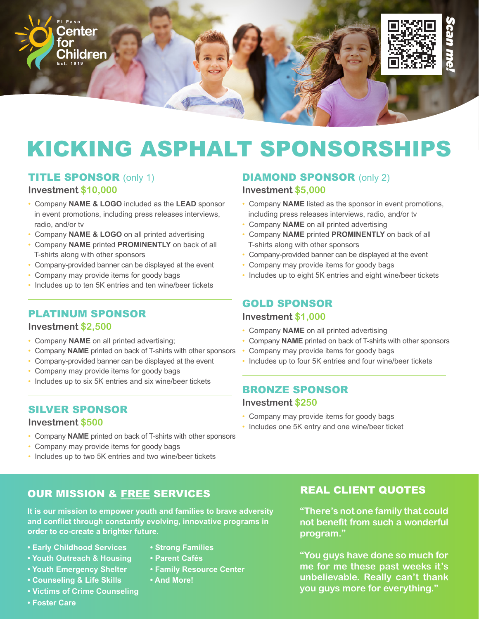

## TITLE SPONSOR (only 1)

#### **Investment \$10,000**

- Company **NAME & LOGO** included as the **LEAD** sponsor in event promotions, including press releases interviews, radio, and/or tv
- Company **NAME & LOGO** on all printed advertising
- Company **NAME** printed **PROMINENTLY** on back of all T-shirts along with other sponsors
- Company-provided banner can be displayed at the event
- Company may provide items for goody bags
- Includes up to ten 5K entries and ten wine/beer tickets

# PLATINUM SPONSOR

#### **Investment \$2,500**

- Company **NAME** on all printed advertising;
- Company **NAME** printed on back of T-shirts with other sponsors
- Company-provided banner can be displayed at the event
- Company may provide items for goody bags
- Includes up to six 5K entries and six wine/beer tickets

#### SILVER SPONSOR

#### **Investment \$500**

- Company **NAME** printed on back of T-shirts with other sponsors
- Company may provide items for goody bags
- Includes up to two 5K entries and two wine/beer tickets

## OUR MISSION & FREE SERVICES

**It is our mission to empower youth and families to brave adversity and conflict through constantly evolving, innovative programs in order to co-create a brighter future.**

- **Early Childhood Services**
- **• Youth Outreach & Housing**
- **• Youth Emergency Shelter**
- **• Counseling & Life Skills**
- **• Victims of Crime Counseling**
- **Foster Care**
- **Strong Families**
- **Parent Cafés**
- **Family Resource Center**
- **And More!**

# **Investment \$5,000** • Company **NAME** listed as the sponsor in event promotions,

**DIAMOND SPONSOR (only 2)** 

- including press releases interviews, radio, and/or tv
- Company **NAME** on all printed advertising
- Company **NAME** printed **PROMINENTLY** on back of all T-shirts along with other sponsors
- Company-provided banner can be displayed at the event
- Company may provide items for goody bags
- Includes up to eight 5K entries and eight wine/beer tickets

## GOLD SPONSOR

#### **Investment \$1,000**

- Company **NAME** on all printed advertising
- Company **NAME** printed on back of T-shirts with other sponsors
- Company may provide items for goody bags
- Includes up to four 5K entries and four wine/beer tickets

#### BRONZE SPONSOR

#### **Investment \$250**

- Company may provide items for goody bags
- Includes one 5K entry and one wine/beer ticket

## REAL CLIENT QUOTES

**"There's not one family that could not benefit from such a wonderful program."**

**"You guys have done so much for me for me these past weeks it's unbelievable. Really can't thank you guys more for everything."**